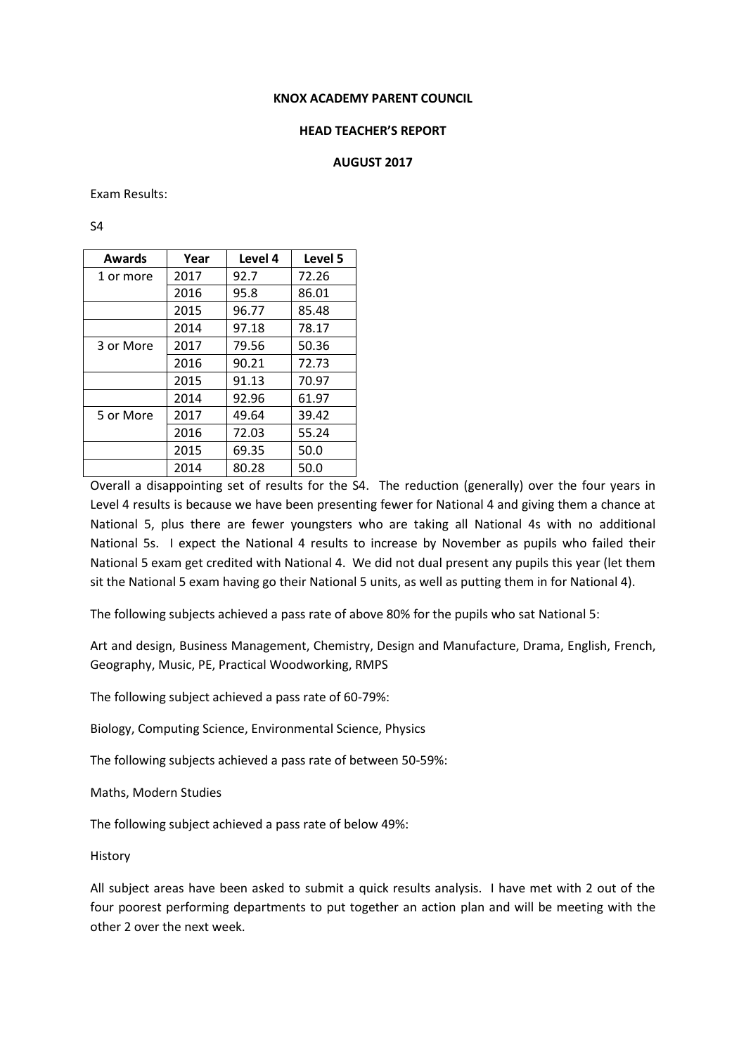#### **KNOX ACADEMY PARENT COUNCIL**

### **HEAD TEACHER'S REPORT**

### **AUGUST 2017**

Exam Results:

S4

| Awards    | Year | Level 4 | Level 5 |
|-----------|------|---------|---------|
| 1 or more | 2017 | 92.7    | 72.26   |
|           | 2016 | 95.8    | 86.01   |
|           | 2015 | 96.77   | 85.48   |
|           | 2014 | 97.18   | 78.17   |
| 3 or More | 2017 | 79.56   | 50.36   |
|           | 2016 | 90.21   | 72.73   |
|           | 2015 | 91.13   | 70.97   |
|           | 2014 | 92.96   | 61.97   |
| 5 or More | 2017 | 49.64   | 39.42   |
|           | 2016 | 72.03   | 55.24   |
|           | 2015 | 69.35   | 50.0    |
|           | 2014 | 80.28   | 50.0    |

Overall a disappointing set of results for the S4. The reduction (generally) over the four years in Level 4 results is because we have been presenting fewer for National 4 and giving them a chance at National 5, plus there are fewer youngsters who are taking all National 4s with no additional National 5s. I expect the National 4 results to increase by November as pupils who failed their National 5 exam get credited with National 4. We did not dual present any pupils this year (let them sit the National 5 exam having go their National 5 units, as well as putting them in for National 4).

The following subjects achieved a pass rate of above 80% for the pupils who sat National 5:

Art and design, Business Management, Chemistry, Design and Manufacture, Drama, English, French, Geography, Music, PE, Practical Woodworking, RMPS

The following subject achieved a pass rate of 60-79%:

Biology, Computing Science, Environmental Science, Physics

The following subjects achieved a pass rate of between 50-59%:

Maths, Modern Studies

The following subject achieved a pass rate of below 49%:

History

All subject areas have been asked to submit a quick results analysis. I have met with 2 out of the four poorest performing departments to put together an action plan and will be meeting with the other 2 over the next week.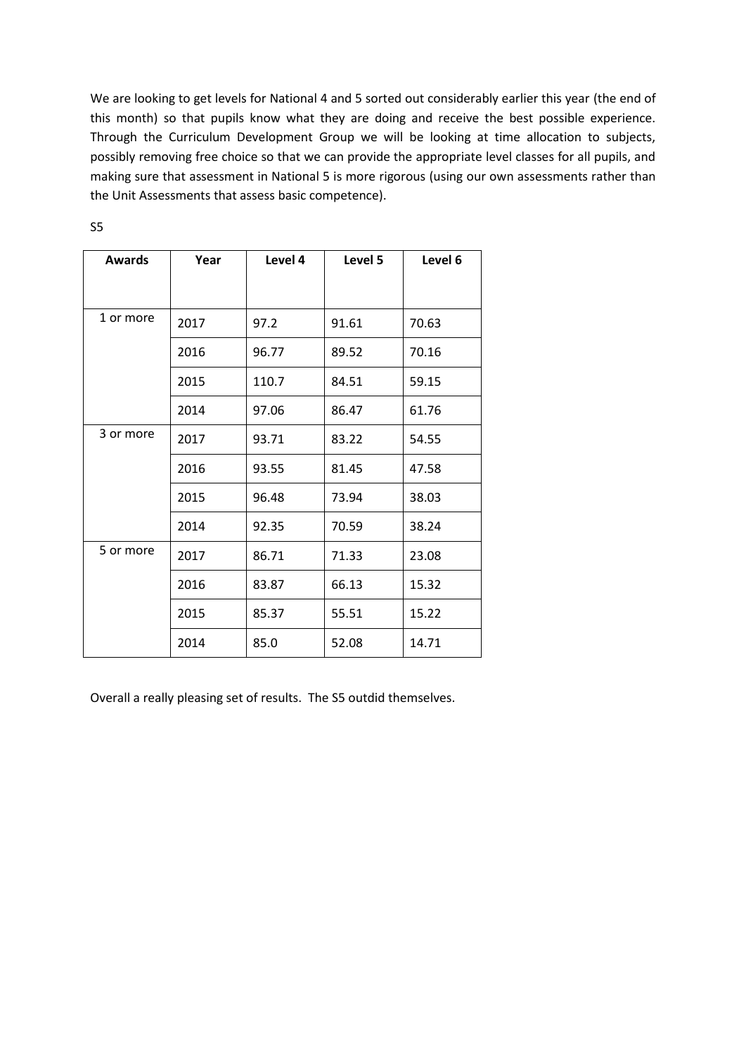We are looking to get levels for National 4 and 5 sorted out considerably earlier this year (the end of this month) so that pupils know what they are doing and receive the best possible experience. Through the Curriculum Development Group we will be looking at time allocation to subjects, possibly removing free choice so that we can provide the appropriate level classes for all pupils, and making sure that assessment in National 5 is more rigorous (using our own assessments rather than the Unit Assessments that assess basic competence).

| <b>Awards</b> | Year | Level 4 | Level 5 | Level 6 |
|---------------|------|---------|---------|---------|
|               |      |         |         |         |
| 1 or more     | 2017 | 97.2    | 91.61   | 70.63   |
|               | 2016 | 96.77   | 89.52   | 70.16   |
|               | 2015 | 110.7   | 84.51   | 59.15   |
|               | 2014 | 97.06   | 86.47   | 61.76   |
| 3 or more     | 2017 | 93.71   | 83.22   | 54.55   |
|               | 2016 | 93.55   | 81.45   | 47.58   |
|               | 2015 | 96.48   | 73.94   | 38.03   |
|               | 2014 | 92.35   | 70.59   | 38.24   |
| 5 or more     | 2017 | 86.71   | 71.33   | 23.08   |
|               | 2016 | 83.87   | 66.13   | 15.32   |
|               | 2015 | 85.37   | 55.51   | 15.22   |
|               | 2014 | 85.0    | 52.08   | 14.71   |

S5

Overall a really pleasing set of results. The S5 outdid themselves.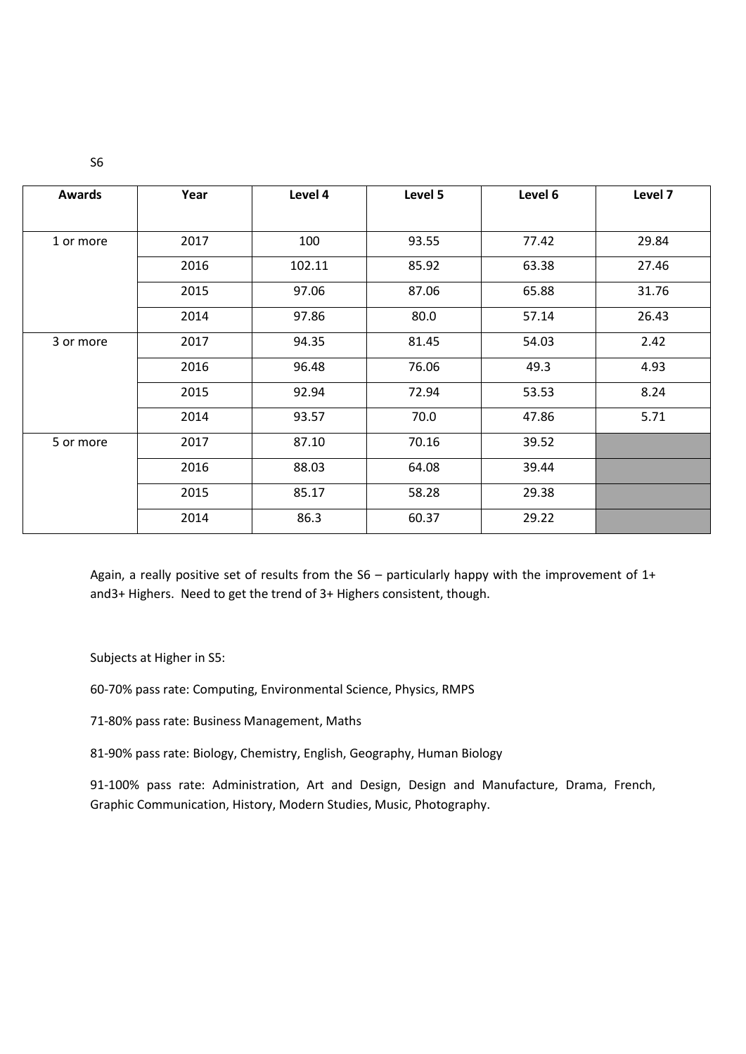| <b>Awards</b> | Year | Level 4 | Level 5 | Level 6 | Level 7 |
|---------------|------|---------|---------|---------|---------|
|               |      |         |         |         |         |
| 1 or more     | 2017 | 100     | 93.55   | 77.42   | 29.84   |
|               | 2016 | 102.11  | 85.92   | 63.38   | 27.46   |
|               | 2015 | 97.06   | 87.06   | 65.88   | 31.76   |
|               | 2014 | 97.86   | 80.0    | 57.14   | 26.43   |
| 3 or more     | 2017 | 94.35   | 81.45   | 54.03   | 2.42    |
|               | 2016 | 96.48   | 76.06   | 49.3    | 4.93    |
|               | 2015 | 92.94   | 72.94   | 53.53   | 8.24    |
|               | 2014 | 93.57   | 70.0    | 47.86   | 5.71    |
| 5 or more     | 2017 | 87.10   | 70.16   | 39.52   |         |
|               | 2016 | 88.03   | 64.08   | 39.44   |         |
|               | 2015 | 85.17   | 58.28   | 29.38   |         |
|               | 2014 | 86.3    | 60.37   | 29.22   |         |

Again, a really positive set of results from the S6 – particularly happy with the improvement of 1+ and3+ Highers. Need to get the trend of 3+ Highers consistent, though.

Subjects at Higher in S5:

60-70% pass rate: Computing, Environmental Science, Physics, RMPS

71-80% pass rate: Business Management, Maths

81-90% pass rate: Biology, Chemistry, English, Geography, Human Biology

91-100% pass rate: Administration, Art and Design, Design and Manufacture, Drama, French, Graphic Communication, History, Modern Studies, Music, Photography.

S6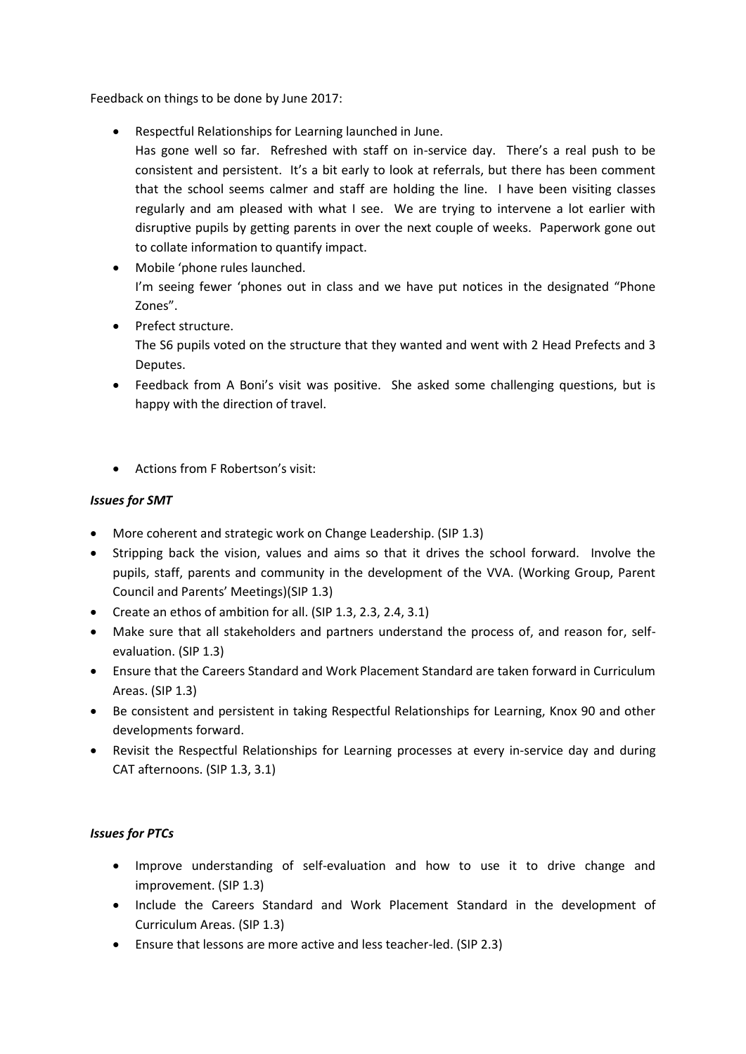Feedback on things to be done by June 2017:

- Respectful Relationships for Learning launched in June.
	- Has gone well so far. Refreshed with staff on in-service day. There's a real push to be consistent and persistent. It's a bit early to look at referrals, but there has been comment that the school seems calmer and staff are holding the line. I have been visiting classes regularly and am pleased with what I see. We are trying to intervene a lot earlier with disruptive pupils by getting parents in over the next couple of weeks. Paperwork gone out to collate information to quantify impact.
- Mobile 'phone rules launched. I'm seeing fewer 'phones out in class and we have put notices in the designated "Phone Zones".
- Prefect structure. The S6 pupils voted on the structure that they wanted and went with 2 Head Prefects and 3 Deputes.
- Feedback from A Boni's visit was positive. She asked some challenging questions, but is happy with the direction of travel.
- Actions from F Robertson's visit:

# *Issues for SMT*

- More coherent and strategic work on Change Leadership. (SIP 1.3)
- Stripping back the vision, values and aims so that it drives the school forward. Involve the pupils, staff, parents and community in the development of the VVA. (Working Group, Parent Council and Parents' Meetings)(SIP 1.3)
- Create an ethos of ambition for all. (SIP 1.3, 2.3, 2.4, 3.1)
- Make sure that all stakeholders and partners understand the process of, and reason for, selfevaluation. (SIP 1.3)
- Ensure that the Careers Standard and Work Placement Standard are taken forward in Curriculum Areas. (SIP 1.3)
- Be consistent and persistent in taking Respectful Relationships for Learning, Knox 90 and other developments forward.
- Revisit the Respectful Relationships for Learning processes at every in-service day and during CAT afternoons. (SIP 1.3, 3.1)

# *Issues for PTCs*

- Improve understanding of self-evaluation and how to use it to drive change and improvement. (SIP 1.3)
- Include the Careers Standard and Work Placement Standard in the development of Curriculum Areas. (SIP 1.3)
- Ensure that lessons are more active and less teacher-led. (SIP 2.3)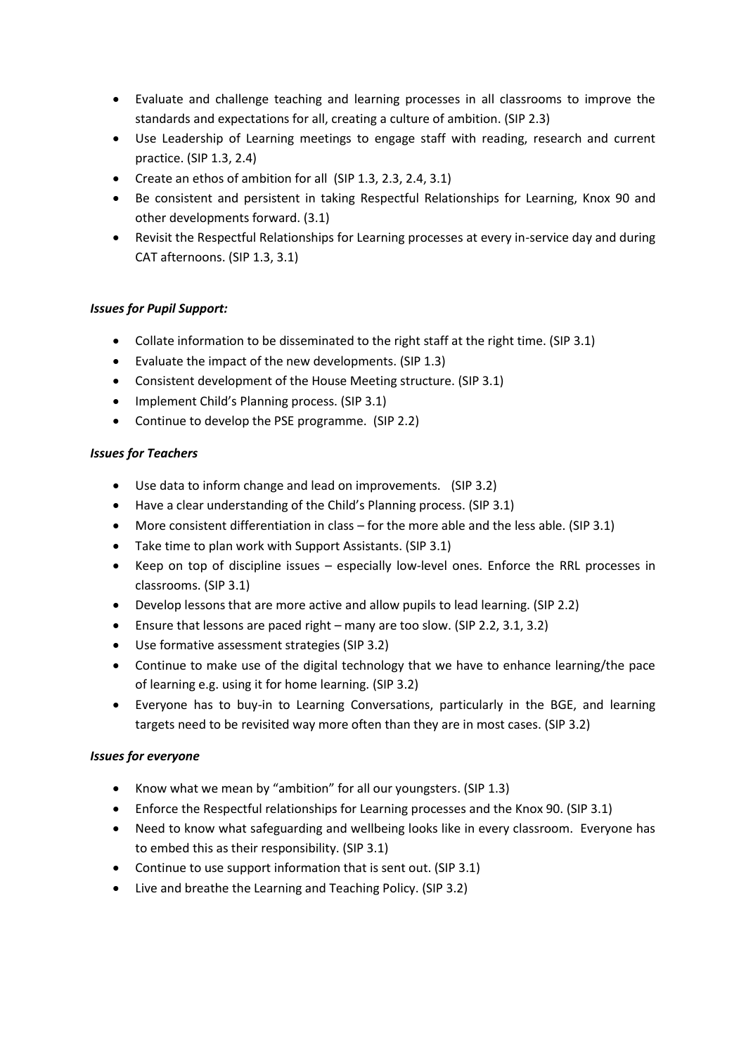- Evaluate and challenge teaching and learning processes in all classrooms to improve the standards and expectations for all, creating a culture of ambition. (SIP 2.3)
- Use Leadership of Learning meetings to engage staff with reading, research and current practice. (SIP 1.3, 2.4)
- Create an ethos of ambition for all (SIP 1.3, 2.3, 2.4, 3.1)
- Be consistent and persistent in taking Respectful Relationships for Learning, Knox 90 and other developments forward. (3.1)
- Revisit the Respectful Relationships for Learning processes at every in-service day and during CAT afternoons. (SIP 1.3, 3.1)

# *Issues for Pupil Support:*

- Collate information to be disseminated to the right staff at the right time. (SIP 3.1)
- Evaluate the impact of the new developments. (SIP 1.3)
- Consistent development of the House Meeting structure. (SIP 3.1)
- Implement Child's Planning process. (SIP 3.1)
- Continue to develop the PSE programme. (SIP 2.2)

### *Issues for Teachers*

- Use data to inform change and lead on improvements. (SIP 3.2)
- Have a clear understanding of the Child's Planning process. (SIP 3.1)
- More consistent differentiation in class for the more able and the less able. (SIP 3.1)
- Take time to plan work with Support Assistants. (SIP 3.1)
- Keep on top of discipline issues especially low-level ones. Enforce the RRL processes in classrooms. (SIP 3.1)
- Develop lessons that are more active and allow pupils to lead learning. (SIP 2.2)
- Ensure that lessons are paced right many are too slow. (SIP 2.2, 3.1, 3.2)
- Use formative assessment strategies (SIP 3.2)
- Continue to make use of the digital technology that we have to enhance learning/the pace of learning e.g. using it for home learning. (SIP 3.2)
- Everyone has to buy-in to Learning Conversations, particularly in the BGE, and learning targets need to be revisited way more often than they are in most cases. (SIP 3.2)

### *Issues for everyone*

- Know what we mean by "ambition" for all our youngsters. (SIP 1.3)
- Enforce the Respectful relationships for Learning processes and the Knox 90. (SIP 3.1)
- Need to know what safeguarding and wellbeing looks like in every classroom. Everyone has to embed this as their responsibility. (SIP 3.1)
- Continue to use support information that is sent out. (SIP 3.1)
- Live and breathe the Learning and Teaching Policy. (SIP 3.2)